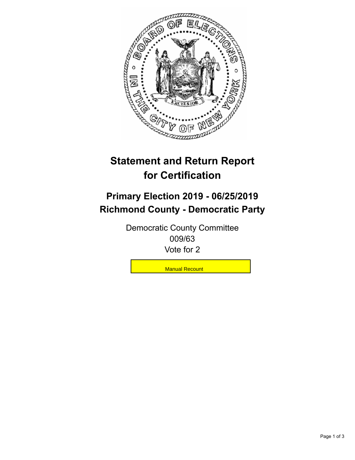

## **Statement and Return Report for Certification**

## **Primary Election 2019 - 06/25/2019 Richmond County - Democratic Party**

Democratic County Committee 009/63 Vote for 2

**Manual Recount**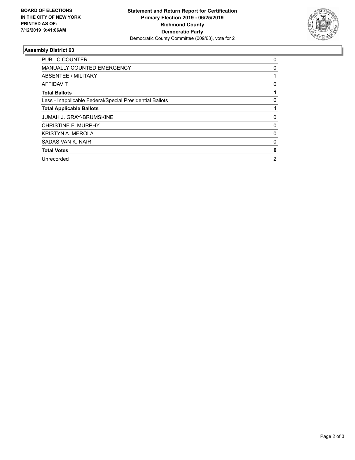

## **Assembly District 63**

| <b>PUBLIC COUNTER</b>                                    | 0              |
|----------------------------------------------------------|----------------|
| <b>MANUALLY COUNTED EMERGENCY</b>                        | 0              |
| ABSENTEE / MILITARY                                      |                |
| AFFIDAVIT                                                | 0              |
| <b>Total Ballots</b>                                     |                |
| Less - Inapplicable Federal/Special Presidential Ballots | 0              |
| <b>Total Applicable Ballots</b>                          |                |
| <b>JUMAH J. GRAY-BRUMSKINE</b>                           | 0              |
| <b>CHRISTINE F. MURPHY</b>                               | 0              |
| <b>KRISTYN A. MEROLA</b>                                 | 0              |
| SADASIVAN K. NAIR                                        | 0              |
| <b>Total Votes</b>                                       | 0              |
| Unrecorded                                               | $\overline{2}$ |